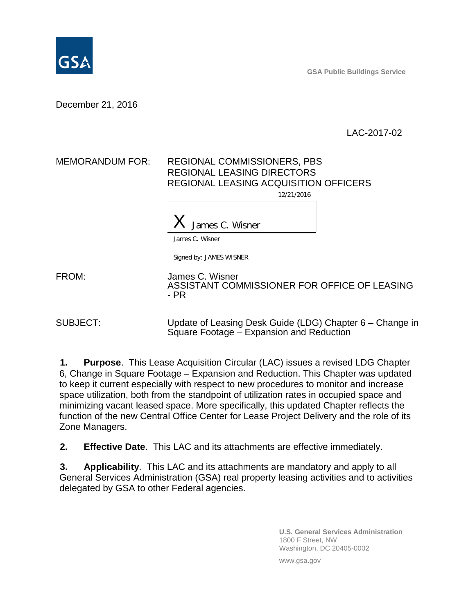

**GSA Public Buildings Service**

December 21, 2016

LAC-2017-02

## MEMORANDUM FOR: REGIONAL COMMISSIONERS, PBS REGIONAL LEASING DIRECTORS REGIONAL LEASING ACQUISITION OFFICERS 12/21/2016

 $X$  James C. Wisner

James C. Wisner

Signed by: JAMES WISNER

FROM: James C. Wisner ASSISTANT COMMISSIONER FOR OFFICE OF LEASING - PR

SUBJECT: Update of Leasing Desk Guide (LDG) Chapter 6 – Change in Square Footage – Expansion and Reduction

**1. Purpose**. This Lease Acquisition Circular (LAC) issues a revised LDG Chapter 6, Change in Square Footage – Expansion and Reduction. This Chapter was updated to keep it current especially with respect to new procedures to monitor and increase space utilization, both from the standpoint of utilization rates in occupied space and minimizing vacant leased space. More specifically, this updated Chapter reflects the function of the new Central Office Center for Lease Project Delivery and the role of its Zone Managers.

**2. Effective Date**. This LAC and its attachments are effective immediately.

**3. Applicability**. This LAC and its attachments are mandatory and apply to all General Services Administration (GSA) real property leasing activities and to activities delegated by GSA to other Federal agencies.

> **U.S. General Services Administration** 1800 F Street, NW Washington, DC 20405-0002

www.gsa.gov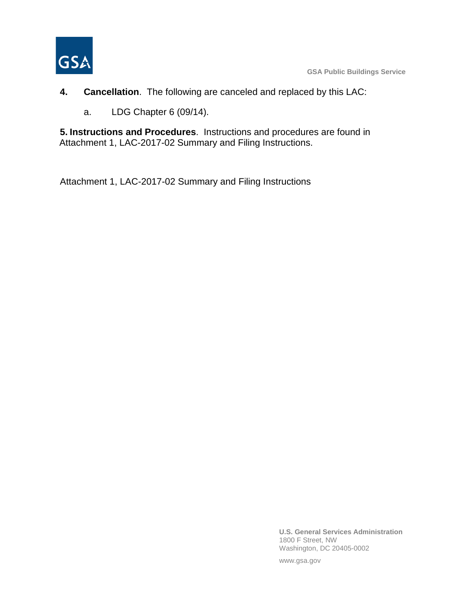

- **4. Cancellation**. The following are canceled and replaced by this LAC:
	- a. LDG Chapter 6 (09/14).

**5. Instructions and Procedures**. Instructions and procedures are found in Attachment 1, LAC-2017-02 Summary and Filing Instructions.

Attachment 1, LAC-2017-02 Summary and Filing Instructions

**U.S. General Services Administration** 1800 F Street, NW Washington, DC 20405-0002

www.gsa.gov